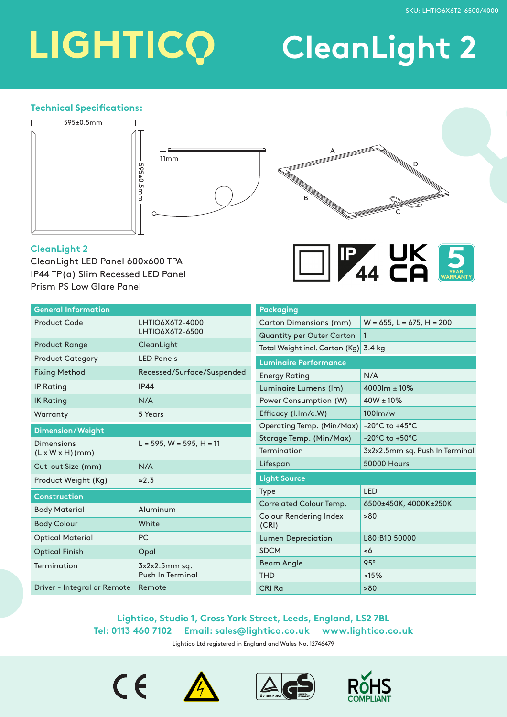## LIGHTICO

## **CleanLight 2**

#### **Technical Specifications:**



#### **CleanLight 2**

CleanLight LED Panel 600x600 TPA IP44 TP(a) Slim Recessed LED Panel Prism PS Low Glare Panel



| <b>General Information</b>  |                                     | <b>Packaging</b>                              |                                      |
|-----------------------------|-------------------------------------|-----------------------------------------------|--------------------------------------|
| <b>Product Code</b>         | LHTIO6X6T2-4000<br>LHTIO6X6T2-6500  | Carton Dimensions (mm)                        | $W = 655$ , L = 675, H = 200         |
|                             |                                     | <b>Quantity per Outer Carton</b>              | $\mathbf{1}$                         |
| <b>Product Range</b>        | CleanLight                          | Total Weight incl. Carton (Kg)                | 3.4 kg                               |
| <b>Product Category</b>     | <b>LED Panels</b>                   | <b>Luminaire Performance</b>                  |                                      |
| <b>Fixing Method</b>        | Recessed/Surface/Suspended          | <b>Energy Rating</b>                          | N/A                                  |
| <b>IP Rating</b>            | <b>IP44</b>                         | Luminaire Lumens (Im)                         | 4000lm ± 10%                         |
| <b>IK Rating</b>            | N/A                                 | Power Consumption (W)                         | $40W \pm 10\%$                       |
| Warranty                    | 5 Years                             | Efficacy (I.Im/c.W)                           | $100$ m/w                            |
| Dimension/Weight            |                                     | Operating Temp. (Min/Max)                     | $-20^{\circ}$ C to $+45^{\circ}$ C   |
| <b>Dimensions</b>           | $L = 595$ , W = 595, H = 11         | Storage Temp. (Min/Max)                       | -20 $^{\circ}$ C to +50 $^{\circ}$ C |
| $(L \times W \times H)(mm)$ |                                     | Termination                                   | 3x2x2.5mm sq. Push In Terminal       |
| Cut-out Size (mm)           | N/A                                 | Lifespan                                      | <b>50000 Hours</b>                   |
| Product Weight (Kg)         | $\approx$ 2.3                       | <b>Light Source</b>                           |                                      |
| <b>Construction</b>         |                                     | Type                                          | <b>LED</b>                           |
| <b>Body Material</b>        | Aluminum                            | Correlated Colour Temp.                       | 6500±450K, 4000K±250K                |
|                             |                                     | <b>Colour Rendering Index</b><br>>80<br>(CRI) |                                      |
| <b>Body Colour</b>          | White                               |                                               |                                      |
| <b>Optical Material</b>     | <b>PC</b>                           | <b>Lumen Depreciation</b>                     | L80:B10 50000                        |
| <b>Optical Finish</b>       | Opal                                | <b>SDCM</b>                                   | <6                                   |
| Termination                 | $3x2x2.5mm$ sq.<br>Push In Terminal | <b>Beam Angle</b>                             | $95^\circ$                           |
|                             |                                     | <b>THD</b>                                    | <15%                                 |
| Driver - Integral or Remote | Remote                              | CRI Ra                                        | >80                                  |

#### **Lightico, Studio 1, Cross York Street, Leeds, England, LS2 7BL Tel: 0113 460 7102 Email: sales@lightico.co.uk www.lightico.co.uk**

Lightico Ltd registered in England and Wales No. 12746479